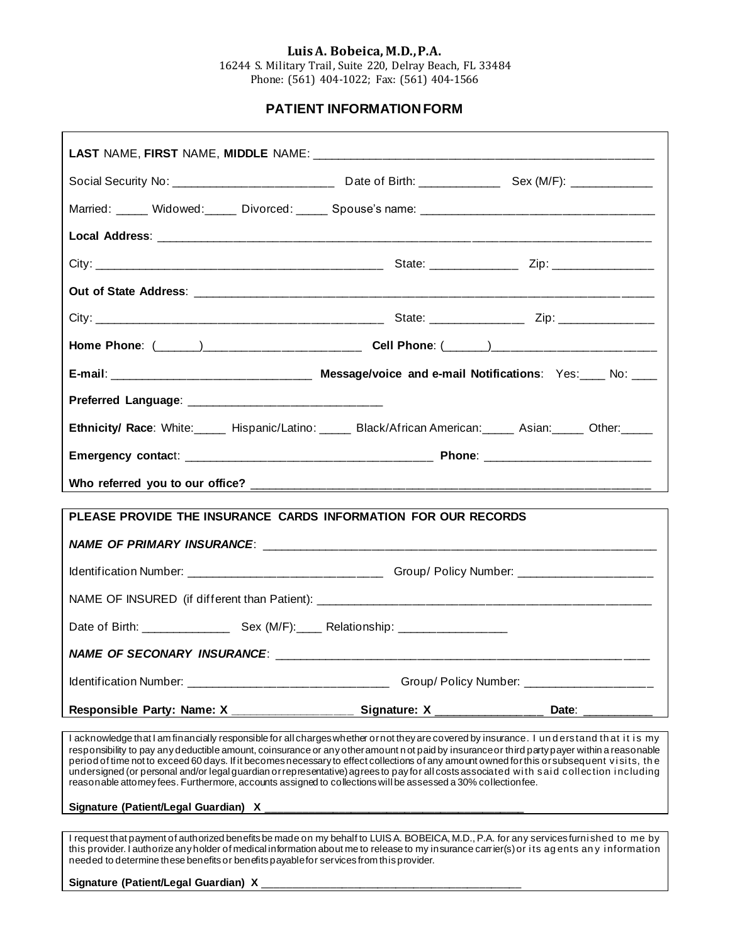### **Luis A. Bobeica, M.D., P.A.**

16244 S. Military Trail, Suite 220, Delray Beach, FL 33484 Phone: (561) 404-1022; Fax: (561) 404-1566

### **PATIENT INFORMATION FORM**

| Married: Widowed: Divorced: Spouse's name: 1988 Married: 2008. Married: 2008. Widowed: 2008. Spouse's name: 20                                                                                                                                                                                                                                                                                                                                                                                                                                                                                                                                                                                    |                                            |
|---------------------------------------------------------------------------------------------------------------------------------------------------------------------------------------------------------------------------------------------------------------------------------------------------------------------------------------------------------------------------------------------------------------------------------------------------------------------------------------------------------------------------------------------------------------------------------------------------------------------------------------------------------------------------------------------------|--------------------------------------------|
|                                                                                                                                                                                                                                                                                                                                                                                                                                                                                                                                                                                                                                                                                                   |                                            |
|                                                                                                                                                                                                                                                                                                                                                                                                                                                                                                                                                                                                                                                                                                   |                                            |
|                                                                                                                                                                                                                                                                                                                                                                                                                                                                                                                                                                                                                                                                                                   |                                            |
|                                                                                                                                                                                                                                                                                                                                                                                                                                                                                                                                                                                                                                                                                                   |                                            |
|                                                                                                                                                                                                                                                                                                                                                                                                                                                                                                                                                                                                                                                                                                   |                                            |
|                                                                                                                                                                                                                                                                                                                                                                                                                                                                                                                                                                                                                                                                                                   |                                            |
|                                                                                                                                                                                                                                                                                                                                                                                                                                                                                                                                                                                                                                                                                                   |                                            |
| <b>Ethnicity/ Race:</b> White: Hispanic/Latino: Black/African American: Asian: Other: Other:                                                                                                                                                                                                                                                                                                                                                                                                                                                                                                                                                                                                      |                                            |
|                                                                                                                                                                                                                                                                                                                                                                                                                                                                                                                                                                                                                                                                                                   |                                            |
|                                                                                                                                                                                                                                                                                                                                                                                                                                                                                                                                                                                                                                                                                                   |                                            |
| PLEASE PROVIDE THE INSURANCE CARDS INFORMATION FOR OUR RECORDS                                                                                                                                                                                                                                                                                                                                                                                                                                                                                                                                                                                                                                    |                                            |
|                                                                                                                                                                                                                                                                                                                                                                                                                                                                                                                                                                                                                                                                                                   |                                            |
| Identification Number: ___________________________________Group/ Policy Number: ____________________                                                                                                                                                                                                                                                                                                                                                                                                                                                                                                                                                                                              |                                            |
|                                                                                                                                                                                                                                                                                                                                                                                                                                                                                                                                                                                                                                                                                                   |                                            |
|                                                                                                                                                                                                                                                                                                                                                                                                                                                                                                                                                                                                                                                                                                   |                                            |
|                                                                                                                                                                                                                                                                                                                                                                                                                                                                                                                                                                                                                                                                                                   |                                            |
|                                                                                                                                                                                                                                                                                                                                                                                                                                                                                                                                                                                                                                                                                                   |                                            |
|                                                                                                                                                                                                                                                                                                                                                                                                                                                                                                                                                                                                                                                                                                   | Group/Policy Number: _____________________ |
| Responsible Party: Name: X __________________                                                                                                                                                                                                                                                                                                                                                                                                                                                                                                                                                                                                                                                     |                                            |
| I acknowledge that I am financially responsible for all charges whether ornot they are covered by insurance. I understand that it is my<br>responsibility to pay any deductible amount, coinsurance or any other amount n ot paid by insurance or third party payer within a reasonable<br>period of time not to exceed 60 days. If it becomes necessary to effect collections of any amount owned for this or subsequent visits, the<br>undersigned (or personal and/or legal guardian or representative) agrees to pay for all costs associated with said collection including<br>reasonable attomey fees. Furthermore, accounts assigned to collections will be assessed a 30% collection fee. |                                            |
|                                                                                                                                                                                                                                                                                                                                                                                                                                                                                                                                                                                                                                                                                                   |                                            |
| I request that payment of authorized benefits be made on my behalf to LUISA. BOBEICA, M.D., P.A. for any services furnished to me by<br>this provider. I authorize any holder of medical information about me to release to my insurance carrier(s) or its agents any information                                                                                                                                                                                                                                                                                                                                                                                                                 |                                            |

needed to determine these benefits or benefits payable for services from this provider.

### Signature (Patient/Legal Guardian) X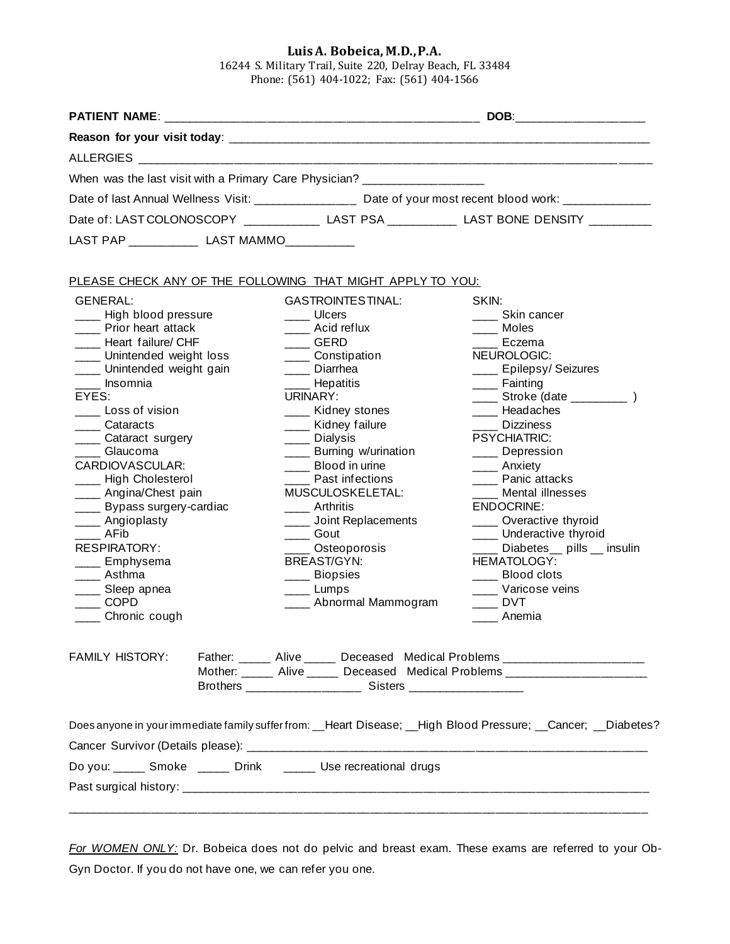### **Luis A. Bobeica, M.D., P.A.**

16244 S. Military Trail, Suite 220, Delray Beach, FL 33484 Phone: (561) 404-1022; Fax: (561) 404-1566

|                                                                                                                                                                                                                                                                                                                                                                                                                                                                         | When was the last visit with a Primary Care Physician? __________________                                                                                                                                                                                                                                                                                                                                                                          |                                                                                                                                                                                                                                                                                                                                                                                                                                                                       |  |  |
|-------------------------------------------------------------------------------------------------------------------------------------------------------------------------------------------------------------------------------------------------------------------------------------------------------------------------------------------------------------------------------------------------------------------------------------------------------------------------|----------------------------------------------------------------------------------------------------------------------------------------------------------------------------------------------------------------------------------------------------------------------------------------------------------------------------------------------------------------------------------------------------------------------------------------------------|-----------------------------------------------------------------------------------------------------------------------------------------------------------------------------------------------------------------------------------------------------------------------------------------------------------------------------------------------------------------------------------------------------------------------------------------------------------------------|--|--|
|                                                                                                                                                                                                                                                                                                                                                                                                                                                                         |                                                                                                                                                                                                                                                                                                                                                                                                                                                    |                                                                                                                                                                                                                                                                                                                                                                                                                                                                       |  |  |
|                                                                                                                                                                                                                                                                                                                                                                                                                                                                         | Date of: LAST COLONOSCOPY ________________LAST PSA _____________LAST BONE DENSITY __________                                                                                                                                                                                                                                                                                                                                                       |                                                                                                                                                                                                                                                                                                                                                                                                                                                                       |  |  |
| LAST PAP _______________ LAST MAMMO____________                                                                                                                                                                                                                                                                                                                                                                                                                         |                                                                                                                                                                                                                                                                                                                                                                                                                                                    |                                                                                                                                                                                                                                                                                                                                                                                                                                                                       |  |  |
|                                                                                                                                                                                                                                                                                                                                                                                                                                                                         |                                                                                                                                                                                                                                                                                                                                                                                                                                                    |                                                                                                                                                                                                                                                                                                                                                                                                                                                                       |  |  |
|                                                                                                                                                                                                                                                                                                                                                                                                                                                                         | PLEASE CHECK ANY OF THE FOLLOWING THAT MIGHT APPLY TO YOU:                                                                                                                                                                                                                                                                                                                                                                                         |                                                                                                                                                                                                                                                                                                                                                                                                                                                                       |  |  |
| <b>GENERAL:</b><br>___ High blood pressure<br>Prior heart attack<br>Heart failure/ CHF<br>___ Unintended weight loss<br>___ Unintended weight gain<br>Insomnia<br>EYES:<br>Loss of vision<br>__ Cataracts<br>Cataract surgery<br>Glaucoma<br>CARDIOVASCULAR:<br>High Cholesterol<br>____ Angina/Chest pain<br>Bypass surgery-cardiac<br>____ Angioplasty<br>AFib<br><b>RESPIRATORY:</b><br>___ Emphysema<br>__ Asthma<br>__ Sleep apnea<br>$\sim$ COPD<br>Chronic cough | <b>GASTROINTESTINAL:</b><br>Ulcers<br>Acid reflux<br><b>GERD</b><br>_____ Constipation<br>Diarrhea<br>Hepatitis<br>URINARY:<br>___ Kidney stones<br>__ Kidney failure<br>____ Dialysis<br><b>Example 3</b> Eurning w/urination<br>Blood in urine<br>Past infections<br>MUSCULOSKELETAL:<br>Arthritis<br>_____ Joint Replacements<br>____ Gout<br>____ Osteoporosis<br><b>BREAST/GYN:</b><br>____ Biopsies<br>____ Lumps<br>____ Abnormal Mammogram | SKIN:<br>____ Skin cancer<br>Moles<br>Eczema<br>NEUROLOGIC:<br>____ Epilepsy/ Seizures<br>____ Fainting<br>______ Stroke (date ______________ )<br>Headaches<br><b>Dizziness</b><br><b>PSYCHIATRIC:</b><br>____ Depression<br>Anxiety<br>Panic attacks<br>Mental illnesses<br><b>ENDOCRINE:</b><br>_____ Overactive thyroid<br>Underactive thyroid<br>Diabetes_ pills _ insulin<br><b>HEMATOLOGY:</b><br>___ Blood clots<br>__ Varicose veins<br><b>DVT</b><br>Anemia |  |  |
| FAMILY HISTORY:                                                                                                                                                                                                                                                                                                                                                                                                                                                         | Father: ______ Alive ______ Deceased Medical Problems _________________________<br>Mother: _____ Alive _____ Deceased Medical Problems ____________________________                                                                                                                                                                                                                                                                                |                                                                                                                                                                                                                                                                                                                                                                                                                                                                       |  |  |
|                                                                                                                                                                                                                                                                                                                                                                                                                                                                         |                                                                                                                                                                                                                                                                                                                                                                                                                                                    | Does anyone in your immediate family suffer from: __Heart Disease; __High Blood Pressure; __Cancer; __Diabetes?                                                                                                                                                                                                                                                                                                                                                       |  |  |
|                                                                                                                                                                                                                                                                                                                                                                                                                                                                         |                                                                                                                                                                                                                                                                                                                                                                                                                                                    |                                                                                                                                                                                                                                                                                                                                                                                                                                                                       |  |  |
|                                                                                                                                                                                                                                                                                                                                                                                                                                                                         | Do you: ______ Smoke ______ Drink ______ Use recreational drugs                                                                                                                                                                                                                                                                                                                                                                                    |                                                                                                                                                                                                                                                                                                                                                                                                                                                                       |  |  |
|                                                                                                                                                                                                                                                                                                                                                                                                                                                                         |                                                                                                                                                                                                                                                                                                                                                                                                                                                    |                                                                                                                                                                                                                                                                                                                                                                                                                                                                       |  |  |

*For WOMEN ONLY:* Dr. Bobeica does not do pelvic and breast exam. These exams are referred to your Ob-Gyn Doctor. If you do not have one, we can refer you one.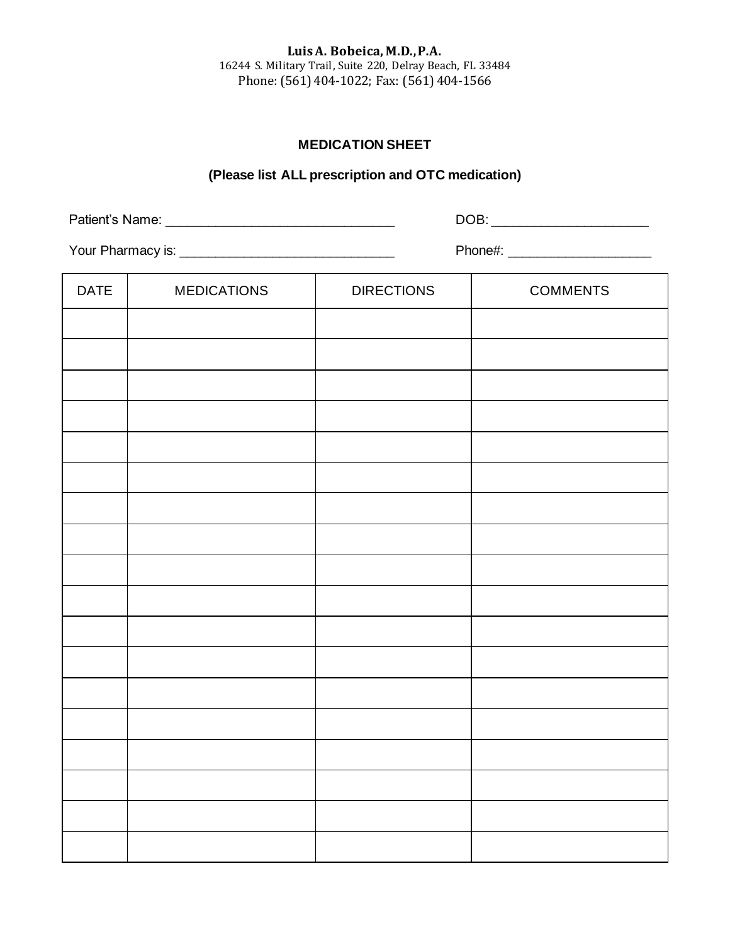**Luis A. Bobeica, M.D., P.A.** 16244 S. Military Trail, Suite 220, Delray Beach, FL 33484 Phone: (561) 404-1022; Fax: (561) 404-1566

## **MEDICATION SHEET**

# **(Please list ALL prescription and OTC medication)**

Patient's Name: \_\_\_\_\_\_\_\_\_\_\_\_\_\_\_\_\_\_\_\_\_\_\_\_\_\_\_\_\_\_\_\_ DOB: \_\_\_\_\_\_\_\_\_\_\_\_\_\_\_\_\_\_\_\_\_\_

Your Pharmacy is: \_\_\_\_\_\_\_\_\_\_\_\_\_\_\_\_\_\_\_\_\_\_\_\_\_\_\_\_\_\_ Phone#: \_\_\_\_\_\_\_\_\_\_\_\_\_\_\_\_\_\_\_\_

| DATE | <b>MEDICATIONS</b> | <b>DIRECTIONS</b> | <b>COMMENTS</b> |
|------|--------------------|-------------------|-----------------|
|      |                    |                   |                 |
|      |                    |                   |                 |
|      |                    |                   |                 |
|      |                    |                   |                 |
|      |                    |                   |                 |
|      |                    |                   |                 |
|      |                    |                   |                 |
|      |                    |                   |                 |
|      |                    |                   |                 |
|      |                    |                   |                 |
|      |                    |                   |                 |
|      |                    |                   |                 |
|      |                    |                   |                 |
|      |                    |                   |                 |
|      |                    |                   |                 |
|      |                    |                   |                 |
|      |                    |                   |                 |
|      |                    |                   |                 |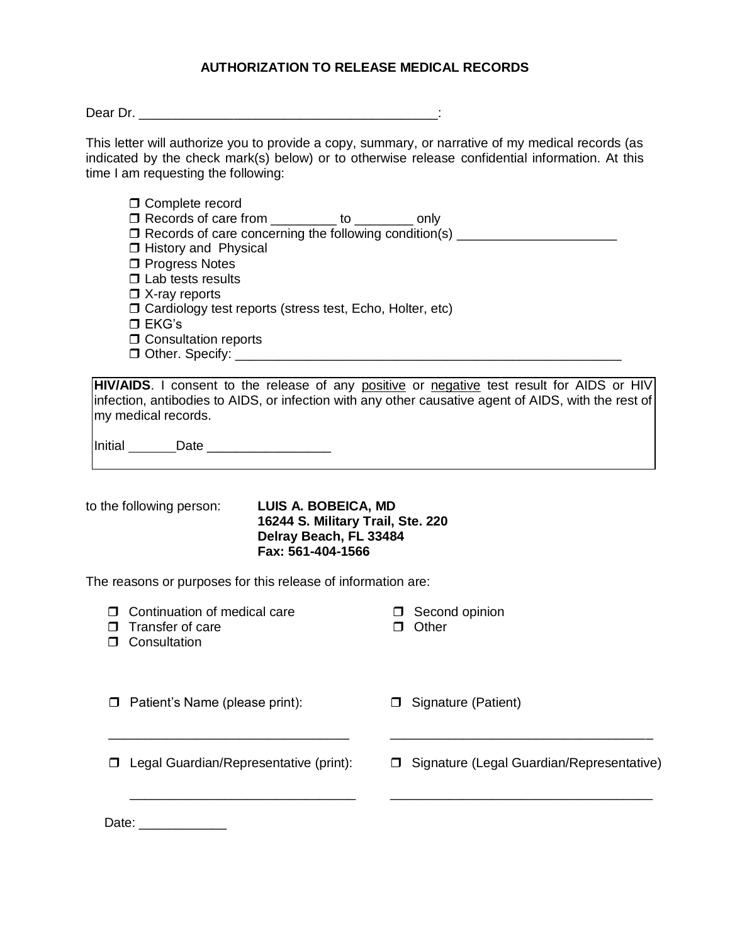# **AUTHORIZATION TO RELEASE MEDICAL RECORDS**

Dear Dr. \_\_\_\_\_\_\_\_\_\_\_\_\_\_\_\_\_\_\_\_\_\_\_\_\_\_\_\_\_\_\_\_\_\_\_\_\_\_\_\_\_:

This letter will authorize you to provide a copy, summary, or narrative of my medical records (as indicated by the check mark(s) below) or to otherwise release confidential information. At this time I am requesting the following:

| □ Complete record<br>□ Records of care from _________ to ________ only<br>□ Records of care concerning the following condition(s) _______________________<br><b>I</b> History and Physical<br>□ Progress Notes<br>$\Box$ Lab tests results<br>$\Box$ X-ray reports<br>□ Cardiology test reports (stress test, Echo, Holter, etc)<br>$\square$ EKG's<br><b>O</b> Consultation reports |                                                                                                                                                                                                    |
|--------------------------------------------------------------------------------------------------------------------------------------------------------------------------------------------------------------------------------------------------------------------------------------------------------------------------------------------------------------------------------------|----------------------------------------------------------------------------------------------------------------------------------------------------------------------------------------------------|
| my medical records.                                                                                                                                                                                                                                                                                                                                                                  | HIV/AIDS. I consent to the release of any positive or negative test result for AIDS or HIV<br>infection, antibodies to AIDS, or infection with any other causative agent of AIDS, with the rest of |
| $Initial$ Date ________________                                                                                                                                                                                                                                                                                                                                                      |                                                                                                                                                                                                    |
| to the following person:<br>LUIS A. BOBEICA, MD<br>16244 S. Military Trail, Ste. 220<br>Delray Beach, FL 33484<br>Fax: 561-404-1566<br>The reasons or purposes for this release of information are:                                                                                                                                                                                  |                                                                                                                                                                                                    |
| <b>D</b> Continuation of medical care<br>$\Box$ Transfer of care<br><b>D</b> Consultation                                                                                                                                                                                                                                                                                            | □ Second opinion<br>$\Box$ Other                                                                                                                                                                   |
| Patient's Name (please print):<br>0                                                                                                                                                                                                                                                                                                                                                  | □ Signature (Patient)                                                                                                                                                                              |
| Legal Guardian/Representative (print):<br>⊓                                                                                                                                                                                                                                                                                                                                          | Signature (Legal Guardian/Representative)<br>$\Box$                                                                                                                                                |
| Date:                                                                                                                                                                                                                                                                                                                                                                                |                                                                                                                                                                                                    |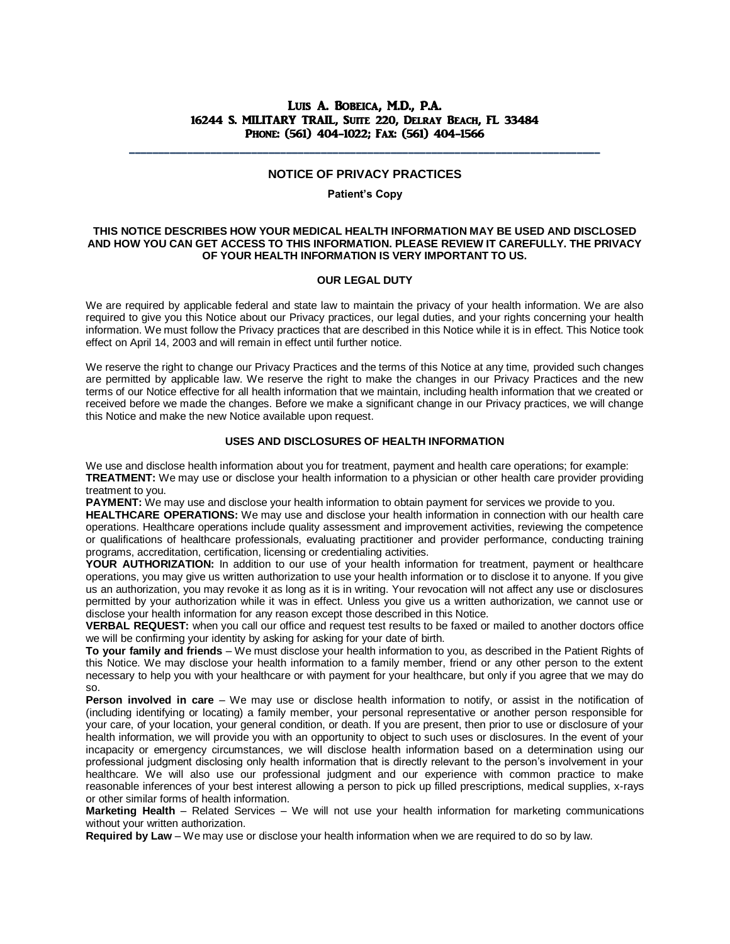### Luis A. Bobeica, M.D., P.A. 16244 S. MILITARY TRAIL, Suite 220, Delray Beach, FL 33484 Phone: (561) 404-1022; Fax: (561) 404-1566

### **NOTICE OF PRIVACY PRACTICES**

\_\_\_\_\_\_\_\_\_\_\_\_\_\_\_\_\_\_\_\_\_\_\_\_\_\_\_\_\_\_\_\_\_\_\_\_\_\_\_\_\_\_\_\_\_\_\_\_\_\_\_\_\_\_\_\_\_\_\_\_\_\_\_\_\_\_\_\_\_\_\_\_\_\_\_\_\_\_\_\_\_

#### **Patient's Copy**

#### **THIS NOTICE DESCRIBES HOW YOUR MEDICAL HEALTH INFORMATION MAY BE USED AND DISCLOSED AND HOW YOU CAN GET ACCESS TO THIS INFORMATION. PLEASE REVIEW IT CAREFULLY. THE PRIVACY OF YOUR HEALTH INFORMATION IS VERY IMPORTANT TO US.**

#### **OUR LEGAL DUTY**

We are required by applicable federal and state law to maintain the privacy of your health information. We are also required to give you this Notice about our Privacy practices, our legal duties, and your rights concerning your health information. We must follow the Privacy practices that are described in this Notice while it is in effect. This Notice took effect on April 14, 2003 and will remain in effect until further notice.

We reserve the right to change our Privacy Practices and the terms of this Notice at any time, provided such changes are permitted by applicable law. We reserve the right to make the changes in our Privacy Practices and the new terms of our Notice effective for all health information that we maintain, including health information that we created or received before we made the changes. Before we make a significant change in our Privacy practices, we will change this Notice and make the new Notice available upon request.

#### **USES AND DISCLOSURES OF HEALTH INFORMATION**

We use and disclose health information about you for treatment, payment and health care operations; for example: **TREATMENT:** We may use or disclose your health information to a physician or other health care provider providing treatment to you.

**PAYMENT:** We may use and disclose your health information to obtain payment for services we provide to you.

**HEALTHCARE OPERATIONS:** We may use and disclose your health information in connection with our health care operations. Healthcare operations include quality assessment and improvement activities, reviewing the competence or qualifications of healthcare professionals, evaluating practitioner and provider performance, conducting training programs, accreditation, certification, licensing or credentialing activities.

**YOUR AUTHORIZATION:** In addition to our use of your health information for treatment, payment or healthcare operations, you may give us written authorization to use your health information or to disclose it to anyone. If you give us an authorization, you may revoke it as long as it is in writing. Your revocation will not affect any use or disclosures permitted by your authorization while it was in effect. Unless you give us a written authorization, we cannot use or disclose your health information for any reason except those described in this Notice.

**VERBAL REQUEST:** when you call our office and request test results to be faxed or mailed to another doctors office we will be confirming your identity by asking for asking for your date of birth.

**To your family and friends** – We must disclose your health information to you, as described in the Patient Rights of this Notice. We may disclose your health information to a family member, friend or any other person to the extent necessary to help you with your healthcare or with payment for your healthcare, but only if you agree that we may do so.

**Person involved in care** – We may use or disclose health information to notify, or assist in the notification of (including identifying or locating) a family member, your personal representative or another person responsible for your care, of your location, your general condition, or death. If you are present, then prior to use or disclosure of your health information, we will provide you with an opportunity to object to such uses or disclosures. In the event of your incapacity or emergency circumstances, we will disclose health information based on a determination using our professional judgment disclosing only health information that is directly relevant to the person's involvement in your healthcare. We will also use our professional judgment and our experience with common practice to make reasonable inferences of your best interest allowing a person to pick up filled prescriptions, medical supplies, x-rays or other similar forms of health information.

**Marketing Health** – Related Services – We will not use your health information for marketing communications without your written authorization.

**Required by Law** – We may use or disclose your health information when we are required to do so by law.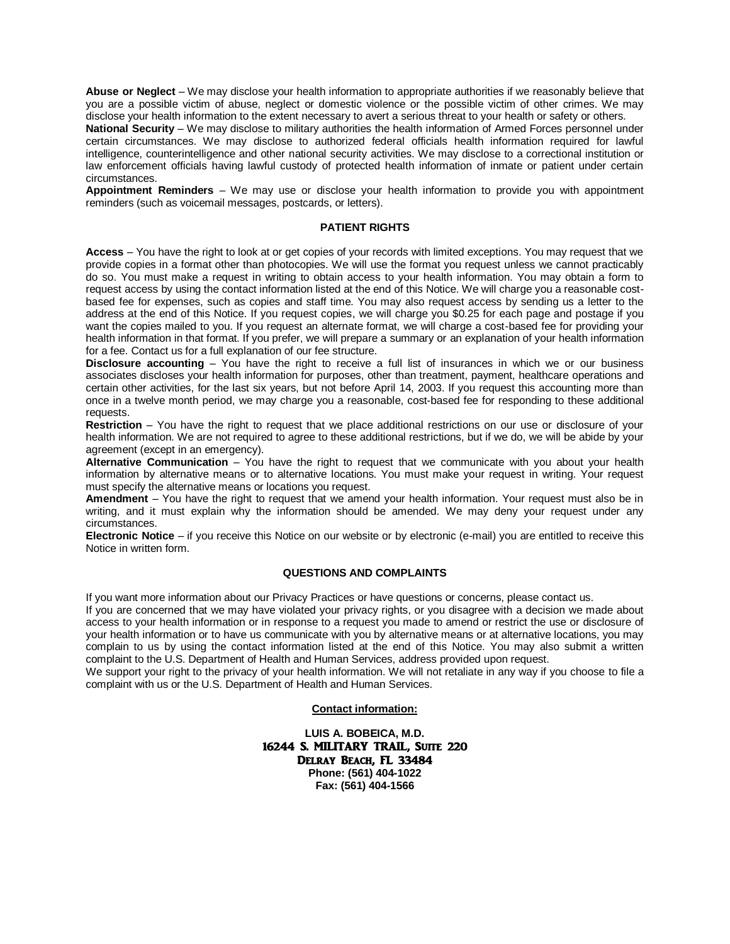**Abuse or Neglect** – We may disclose your health information to appropriate authorities if we reasonably believe that you are a possible victim of abuse, neglect or domestic violence or the possible victim of other crimes. We may disclose your health information to the extent necessary to avert a serious threat to your health or safety or others.

**National Security** – We may disclose to military authorities the health information of Armed Forces personnel under certain circumstances. We may disclose to authorized federal officials health information required for lawful intelligence, counterintelligence and other national security activities. We may disclose to a correctional institution or law enforcement officials having lawful custody of protected health information of inmate or patient under certain circumstances.

**Appointment Reminders** – We may use or disclose your health information to provide you with appointment reminders (such as voicemail messages, postcards, or letters).

#### **PATIENT RIGHTS**

**Access** – You have the right to look at or get copies of your records with limited exceptions. You may request that we provide copies in a format other than photocopies. We will use the format you request unless we cannot practicably do so. You must make a request in writing to obtain access to your health information. You may obtain a form to request access by using the contact information listed at the end of this Notice. We will charge you a reasonable costbased fee for expenses, such as copies and staff time. You may also request access by sending us a letter to the address at the end of this Notice. If you request copies, we will charge you \$0.25 for each page and postage if you want the copies mailed to you. If you request an alternate format, we will charge a cost-based fee for providing your health information in that format. If you prefer, we will prepare a summary or an explanation of your health information for a fee. Contact us for a full explanation of our fee structure.

**Disclosure accounting** – You have the right to receive a full list of insurances in which we or our business associates discloses your health information for purposes, other than treatment, payment, healthcare operations and certain other activities, for the last six years, but not before April 14, 2003. If you request this accounting more than once in a twelve month period, we may charge you a reasonable, cost-based fee for responding to these additional requests.

**Restriction** – You have the right to request that we place additional restrictions on our use or disclosure of your health information. We are not required to agree to these additional restrictions, but if we do, we will be abide by your agreement (except in an emergency).

**Alternative Communication** – You have the right to request that we communicate with you about your health information by alternative means or to alternative locations. You must make your request in writing. Your request must specify the alternative means or locations you request.

**Amendment** – You have the right to request that we amend your health information. Your request must also be in writing, and it must explain why the information should be amended. We may deny your request under any circumstances.

**Electronic Notice** – if you receive this Notice on our website or by electronic (e-mail) you are entitled to receive this Notice in written form.

#### **QUESTIONS AND COMPLAINTS**

If you want more information about our Privacy Practices or have questions or concerns, please contact us.

If you are concerned that we may have violated your privacy rights, or you disagree with a decision we made about access to your health information or in response to a request you made to amend or restrict the use or disclosure of your health information or to have us communicate with you by alternative means or at alternative locations, you may complain to us by using the contact information listed at the end of this Notice. You may also submit a written complaint to the U.S. Department of Health and Human Services, address provided upon request.

We support your right to the privacy of your health information. We will not retaliate in any way if you choose to file a complaint with us or the U.S. Department of Health and Human Services.

#### **Contact information:**

**LUIS A. BOBEICA, M.D.** 16244 S. MILITARY TRAIL, SUITE 220 Delray Beach, FL 33484 **Phone: (561) 404-1022 Fax: (561) 404-1566**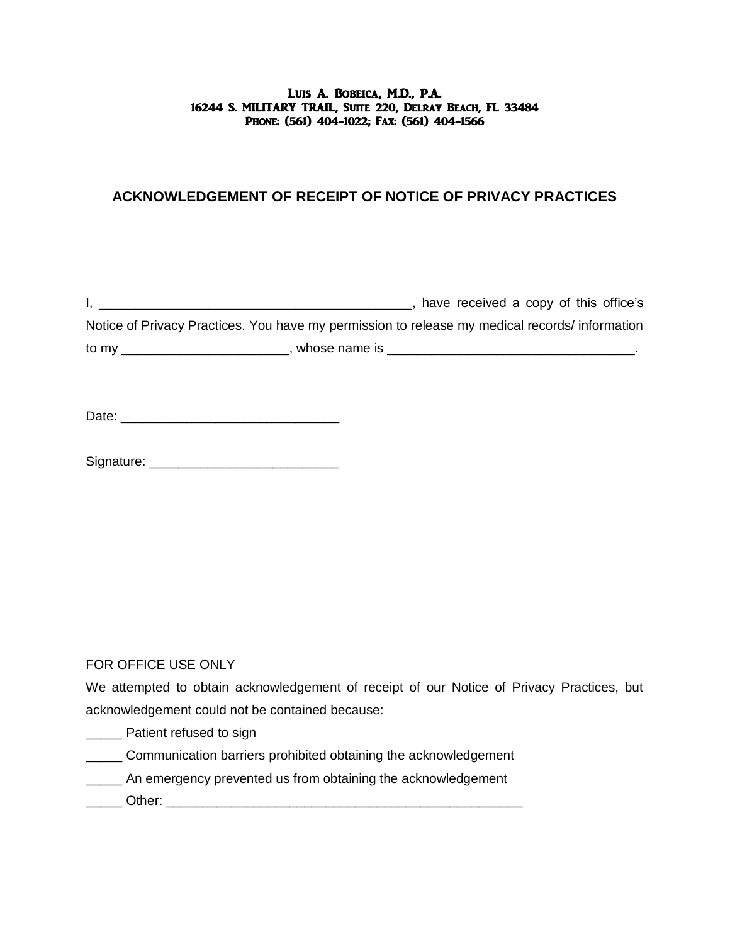### Luis A. Bobeica, M.D., P.A. 16244 S. MILITARY TRAIL, Suite 220, Delray Beach, FL 33484 Phone: (561) 404-1022; Fax: (561) 404-1566

# **ACKNOWLEDGEMENT OF RECEIPT OF NOTICE OF PRIVACY PRACTICES**

I, \_\_\_\_\_\_\_\_\_\_\_\_\_\_\_\_\_\_\_\_\_\_\_\_\_\_\_\_\_\_\_\_\_\_\_\_\_\_\_\_\_\_\_, have received a copy of this office's Notice of Privacy Practices. You have my permission to release my medical records/ information to my \_\_\_\_\_\_\_\_\_\_\_\_\_\_\_\_\_\_\_\_\_\_\_, whose name is \_\_\_\_\_\_\_\_\_\_\_\_\_\_\_\_\_\_\_\_\_\_\_\_\_\_\_\_\_\_\_\_\_\_.

Date: \_\_\_\_\_\_\_\_\_\_\_\_\_\_\_\_\_\_\_\_\_\_\_\_\_\_\_\_\_\_

Signature: **Example 2018** 

FOR OFFICE USE ONLY

We attempted to obtain acknowledgement of receipt of our Notice of Privacy Practices, but acknowledgement could not be contained because:

**\_\_\_\_\_** Patient refused to sign

\_\_\_\_\_ Communication barriers prohibited obtaining the acknowledgement

\_\_\_\_\_ An emergency prevented us from obtaining the acknowledgement

\_\_\_\_\_ Other: \_\_\_\_\_\_\_\_\_\_\_\_\_\_\_\_\_\_\_\_\_\_\_\_\_\_\_\_\_\_\_\_\_\_\_\_\_\_\_\_\_\_\_\_\_\_\_\_\_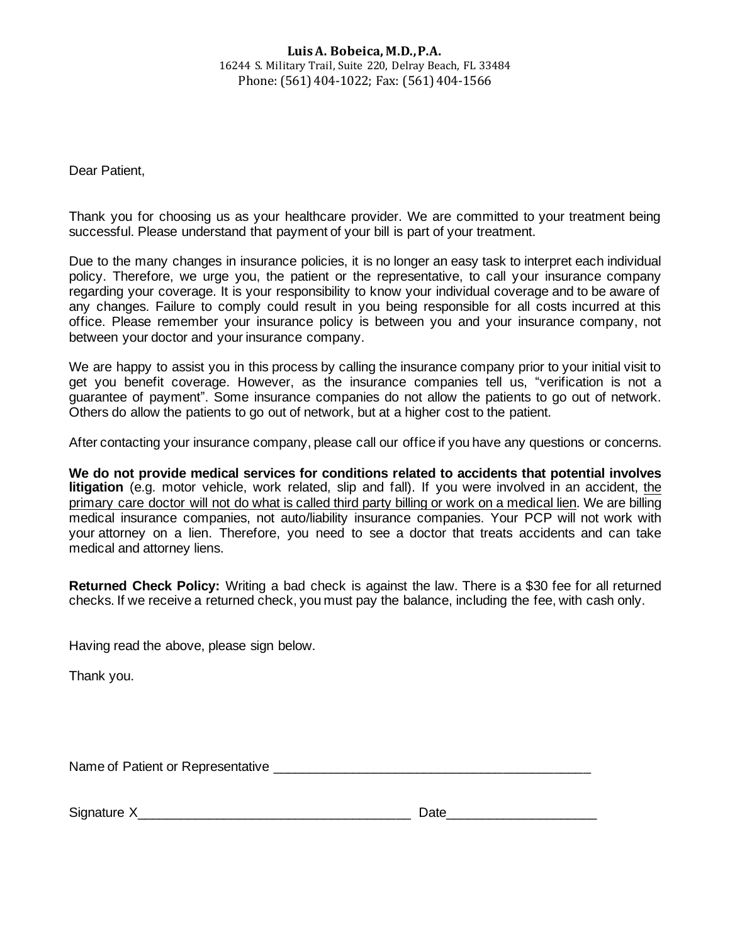### **Luis A. Bobeica, M.D., P.A.** 16244 S. Military Trail, Suite 220, Delray Beach, FL 33484 Phone: (561) 404-1022; Fax: (561) 404-1566

Dear Patient,

Thank you for choosing us as your healthcare provider. We are committed to your treatment being successful. Please understand that payment of your bill is part of your treatment.

Due to the many changes in insurance policies, it is no longer an easy task to interpret each individual policy. Therefore, we urge you, the patient or the representative, to call your insurance company regarding your coverage. It is your responsibility to know your individual coverage and to be aware of any changes. Failure to comply could result in you being responsible for all costs incurred at this office. Please remember your insurance policy is between you and your insurance company, not between your doctor and your insurance company.

We are happy to assist you in this process by calling the insurance company prior to your initial visit to get you benefit coverage. However, as the insurance companies tell us, "verification is not a guarantee of payment". Some insurance companies do not allow the patients to go out of network. Others do allow the patients to go out of network, but at a higher cost to the patient.

After contacting your insurance company, please call our office if you have any questions or concerns.

**We do not provide medical services for conditions related to accidents that potential involves litigation** (e.g. motor vehicle, work related, slip and fall). If you were involved in an accident, the primary care doctor will not do what is called third party billing or work on a medical lien. We are billing medical insurance companies, not auto/liability insurance companies. Your PCP will not work with your [attorney on a lien.](https://accidentdoctor.org/doctors-on-liens/) Therefore, you need to see a doctor that treats accidents and can take medical and attorney liens.

**Returned Check Policy:** Writing a bad check is against the law. There is a \$30 fee for all returned checks. If we receive a returned check, you must pay the balance, including the fee, with cash only.

Having read the above, please sign below.

Thank you.

Name of Patient or Representative \_\_\_\_\_\_\_\_\_\_\_\_\_\_\_\_\_\_\_\_\_\_\_\_\_\_\_\_\_\_\_\_\_\_\_\_\_\_\_\_\_\_\_\_

Signature X and the state of the state of the Signature X and the Signature X and the Signature X and the Signature of the Signature of the Signature of the Signature of the Signature of the Signature of the Signature of t